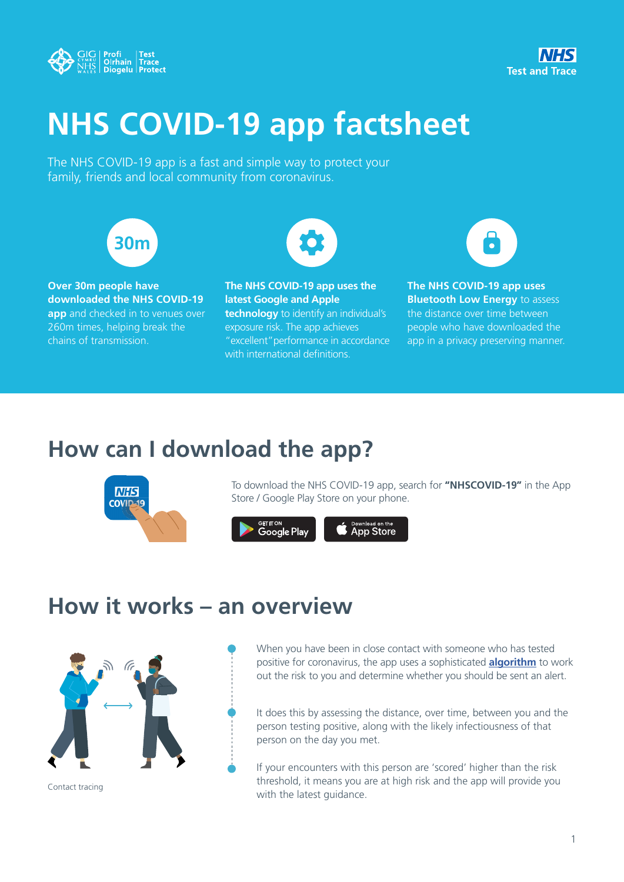



# **NHS COVID-19 app factsheet**

The NHS COVID-19 app is a fast and simple way to protect your family, friends and local community from coronavirus.



**Over 30m people have downloaded the NHS COVID-19 app** and checked in to venues over 260m times, helping break the chains of transmission.

**The NHS COVID-19 app uses the latest Google and Apple technology** to identify an individual's exposure risk. The app achieves "excellent"performance in accordance with international definitions.

 $\bullet$ 

**The NHS COVID-19 app uses Bluetooth Low Energy** to assess the distance over time between people who have downloaded the app in a privacy preserving manner.

### **How can I download the app?**



To download the NHS COVID-19 app, search for **"NHSCOVID-19"** in the App Store / Google Play Store on your phone.



### **How it works – an overview**



Contact tracing

When you have been in close contact with someone who has tested positive for coronavirus, the app uses a sophisticated **algorithm** to work out the risk to you and determine whether you should be sent an alert.

It does this by assessing the distance, over time, between you and the person testing positive, along with the likely infectiousness of that person on the day you met.

If your encounters with this person are 'scored' higher than the risk threshold, it means you are at high risk and the app will provide you with the latest guidance.